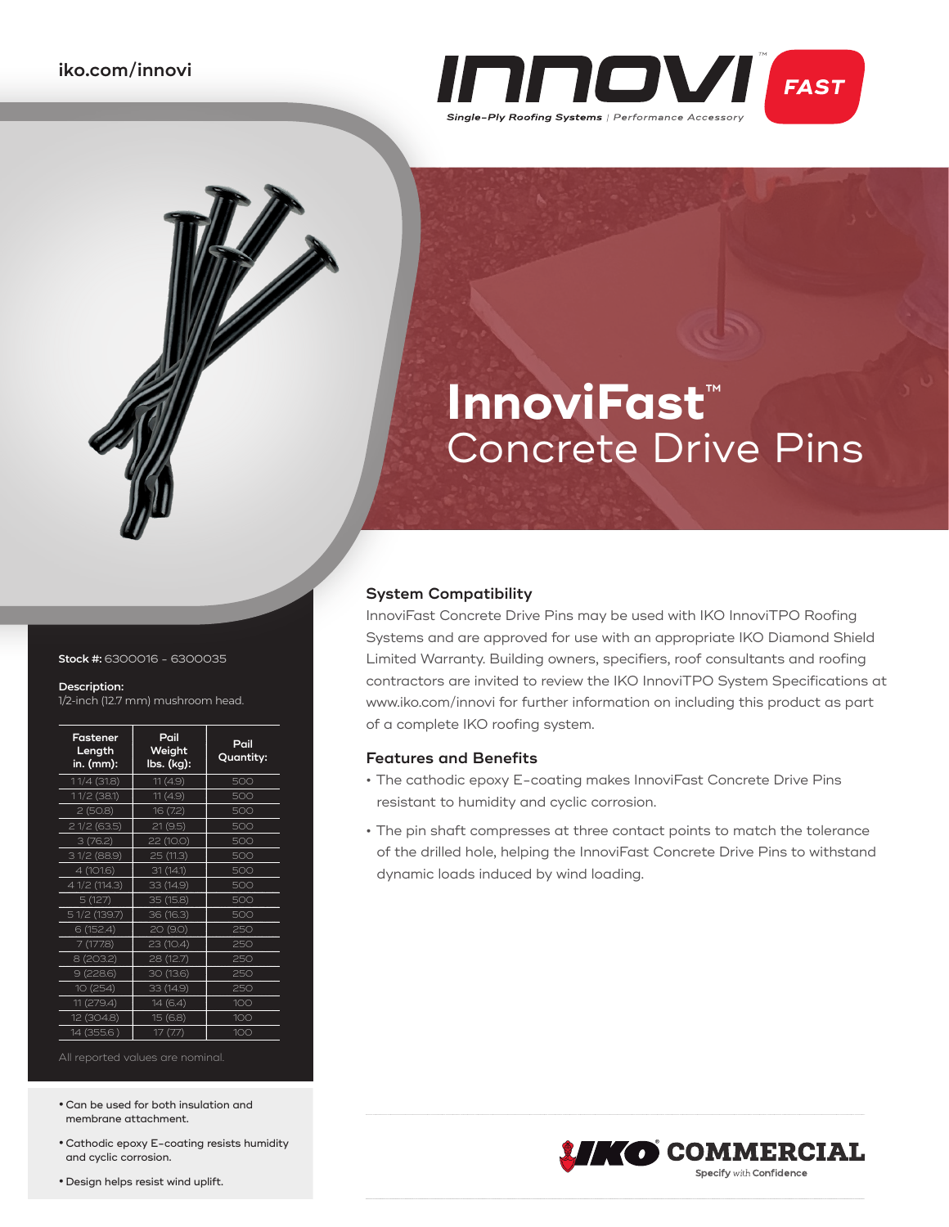

# **InnoviFast**™ Concrete Drive Pins

# **System Compatibility**

InnoviFast Concrete Drive Pins may be used with IKO InnoviTPO Roofing Systems and are approved for use with an appropriate IKO Diamond Shield Limited Warranty. Building owners, specifiers, roof consultants and roofing contractors are invited to review the IKO InnoviTPO System Specifications at www.iko.com/innovi for further information on including this product as part of a complete IKO roofing system.

# **Features and Benefits**

- **•** The cathodic epoxy E-coating makes InnoviFast Concrete Drive Pins resistant to humidity and cyclic corrosion.
- **•** The pin shaft compresses at three contact points to match the tolerance of the drilled hole, helping the InnoviFast Concrete Drive Pins to withstand dynamic loads induced by wind loading.



#### **Stock #:** 6300016 - 6300035

#### **Description:**

1/2-inch (12.7 mm) mushroom head.

| Fastener<br>Length<br>in. (mm): | Pail<br>Weight<br>lbs. (kg): | Pail<br>Quantity: |
|---------------------------------|------------------------------|-------------------|
| 11/4 (31.8)                     | 11(4.9)                      | 500               |
| 11/2 (38.1)                     | 11(4.9)                      | 500               |
| 2(50.8)                         | 16 (7.2)                     | 500               |
| 21/2(63.5)                      | 21(9.5)                      | 500               |
| 3(76.2)                         | 22 (10.0)                    | 500               |
| 3 1/2 (88.9)                    | 25 (11.3)                    | 500               |
| 4 (101.6)                       | 31(14.1)                     | 500               |
| 4 1/2 (114.3)                   | 33 (14.9)                    | 500               |
| 5(127)                          | 35 (15.8)                    | 500               |
| 5 1/2 (139.7)                   | 36 (16.3)                    | 500               |
| 6(152.4)                        | 20 (9.0)                     | 250               |
| 7 (177.8)                       | 23 (10.4)                    | 250               |
| 8 (203.2)                       | 28 (12.7)                    | 250               |
| 9(228.6)                        | 30 (13.6)                    | 250               |
| 10 (254)                        | 33 (14.9)                    | 250               |
| 11 (279.4)                      | 14(6.4)                      | 100               |
| 12 (304.8)                      | 15 (6.8)                     | 100               |
| 14 (355.6)                      | 17(7.7)                      | 100               |

**•**Can be used for both insulation and membrane attachment.

**•**Cathodic epoxy E-coating resists humidity and cyclic corrosion.

**•** Design helps resist wind uplift.